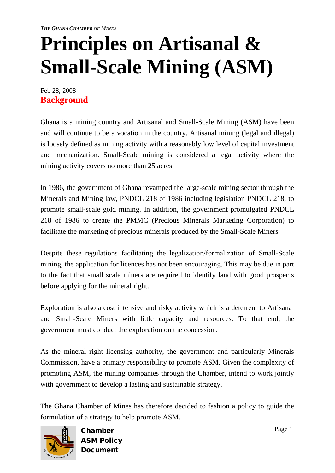## **Principles on Artisanal & Small-Scale Mining (ASM)**

Feb 28, 2008 **Background**

Ghana is a mining country and Artisanal and Small-Scale Mining (ASM) have been and will continue to be a vocation in the country. Artisanal mining (legal and illegal) is loosely defined as mining activity with a reasonably low level of capital investment and mechanization. Small-Scale mining is considered a legal activity where the mining activity covers no more than 25 acres.

In 1986, the government of Ghana revamped the large-scale mining sector through the Minerals and Mining law, PNDCL 218 of 1986 including legislation PNDCL 218, to promote small-scale gold mining. In addition, the government promulgated PNDCL 218 of 1986 to create the PMMC (Precious Minerals Marketing Corporation) to facilitate the marketing of precious minerals produced by the Small-Scale Miners.

Despite these regulations facilitating the legalization/formalization of Small-Scale mining, the application for licences has not been encouraging. This may be due in part to the fact that small scale miners are required to identify land with good prospects before applying for the mineral right.

Exploration is also a cost intensive and risky activity which is a deterrent to Artisanal and Small-Scale Miners with little capacity and resources. To that end, the government must conduct the exploration on the concession.

As the mineral right licensing authority, the government and particularly Minerals Commission, have a primary responsibility to promote ASM. Given the complexity of promoting ASM, the mining companies through the Chamber, intend to work jointly with government to develop a lasting and sustainable strategy.

The Ghana Chamber of Mines has therefore decided to fashion a policy to guide the formulation of a strategy to help promote ASM.



Chamber ASM Policy Document